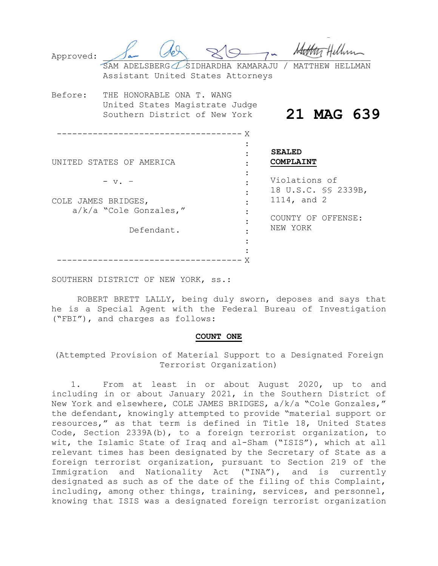| Approved:                     |                                                            |  | SAM ADELSBERG / SIDHARDHA KAMARAJU<br>Assistant United States Attorneys |                                                     | MATTHEW    |
|-------------------------------|------------------------------------------------------------|--|-------------------------------------------------------------------------|-----------------------------------------------------|------------|
| Before:                       | THE HONORABLE ONA T. WANG<br>Southern District of New York |  | United States Magistrate Judge<br>X                                     |                                                     | 21 MAG 639 |
| UNITED STATES OF AMERICA      |                                                            |  |                                                                         | <b>SEALED</b><br>COMPLAINT                          |            |
| $- v.$<br>COLE JAMES BRIDGES, |                                                            |  |                                                                         | Violations of<br>18 U.S.C. SS 2339B,<br>1114, and 2 |            |
|                               | a/k/a "Cole Gonzales,"<br>Defendant.                       |  |                                                                         | COUNTY OF OFFENSE:<br>NEW YORK                      |            |
|                               |                                                            |  |                                                                         |                                                     |            |

SOUTHERN DISTRICT OF NEW YORK, ss.:

ROBERT BRETT LALLY, being duly sworn, deposes and says that he is a Special Agent with the Federal Bureau of Investigation ("FBI"), and charges as follows:

### **COUNT ONE**

(Attempted Provision of Material Support to a Designated Foreign Terrorist Organization)

1. From at least in or about August 2020, up to and including in or about January 2021, in the Southern District of New York and elsewhere, COLE JAMES BRIDGES, a/k/a "Cole Gonzales," the defendant, knowingly attempted to provide "material support or resources," as that term is defined in Title 18, United States Code, Section 2339A(b), to a foreign terrorist organization, to wit, the Islamic State of Iraq and al-Sham ("ISIS"), which at all relevant times has been designated by the Secretary of State as a foreign terrorist organization, pursuant to Section 219 of the Immigration and Nationality Act ("INA"), and is currently designated as such as of the date of the filing of this Complaint, including, among other things, training, services, and personnel, knowing that ISIS was a designated foreign terrorist organization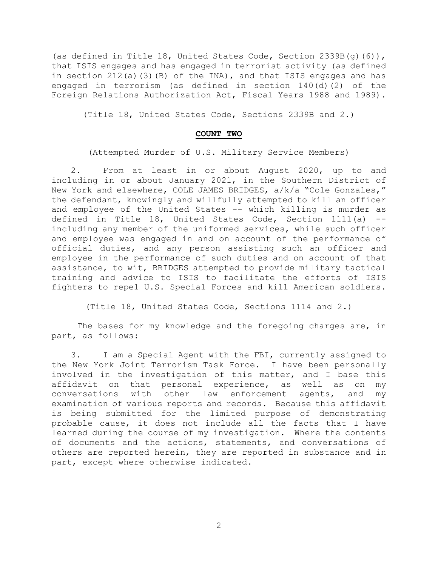(as defined in Title 18, United States Code, Section 2339B(g)(6)), that ISIS engages and has engaged in terrorist activity (as defined in section 212(a)(3)(B) of the INA), and that ISIS engages and has engaged in terrorism (as defined in section 140(d)(2) of the Foreign Relations Authorization Act, Fiscal Years 1988 and 1989).

(Title 18, United States Code, Sections 2339B and 2.)

# **COUNT TWO**

(Attempted Murder of U.S. Military Service Members)

2. From at least in or about August 2020, up to and including in or about January 2021, in the Southern District of New York and elsewhere, COLE JAMES BRIDGES, a/k/a "Cole Gonzales," the defendant, knowingly and willfully attempted to kill an officer and employee of the United States -- which killing is murder as defined in Title 18, United States Code, Section 1111(a) - including any member of the uniformed services, while such officer and employee was engaged in and on account of the performance of official duties, and any person assisting such an officer and employee in the performance of such duties and on account of that assistance, to wit, BRIDGES attempted to provide military tactical training and advice to ISIS to facilitate the efforts of ISIS fighters to repel U.S. Special Forces and kill American soldiers.

(Title 18, United States Code, Sections 1114 and 2.)

The bases for my knowledge and the foregoing charges are, in part, as follows:

3. I am a Special Agent with the FBI, currently assigned to the New York Joint Terrorism Task Force. I have been personally involved in the investigation of this matter, and I base this affidavit on that personal experience, as well as on my conversations with other law enforcement agents, and my examination of various reports and records. Because this affidavit is being submitted for the limited purpose of demonstrating probable cause, it does not include all the facts that I have learned during the course of my investigation. Where the contents of documents and the actions, statements, and conversations of others are reported herein, they are reported in substance and in part, except where otherwise indicated.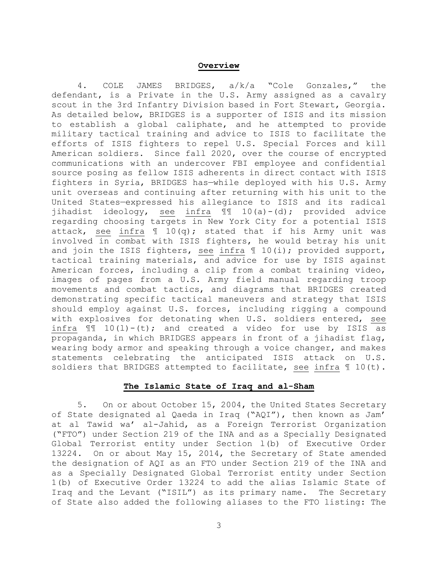### **Overview**

4. COLE JAMES BRIDGES, a/k/a "Cole Gonzales," the defendant, is a Private in the U.S. Army assigned as a cavalry scout in the 3rd Infantry Division based in Fort Stewart, Georgia. As detailed below, BRIDGES is a supporter of ISIS and its mission to establish a global caliphate, and he attempted to provide military tactical training and advice to ISIS to facilitate the efforts of ISIS fighters to repel U.S. Special Forces and kill American soldiers. Since fall 2020, over the course of encrypted communications with an undercover FBI employee and confidential source posing as fellow ISIS adherents in direct contact with ISIS fighters in Syria, BRIDGES has—while deployed with his U.S. Army unit overseas and continuing after returning with his unit to the United States—expressed his allegiance to ISIS and its radical jihadist ideology, see infra ¶¶ 10(a)-(d); provided advice regarding choosing targets in New York City for a potential ISIS attack, see infra  $\mathbb{I}$  10(q); stated that if his Army unit was involved in combat with ISIS fighters, he would betray his unit and join the ISIS fighters, see infra  $\parallel$  10(i); provided support, tactical training materials, and advice for use by ISIS against American forces, including a clip from a combat training video, images of pages from a U.S. Army field manual regarding troop movements and combat tactics, and diagrams that BRIDGES created demonstrating specific tactical maneuvers and strategy that ISIS should employ against U.S. forces, including rigging a compound with explosives for detonating when U.S. soldiers entered, see infra  $\mathbb{I}$  10(1)-(t); and created a video for use by ISIS as propaganda, in which BRIDGES appears in front of a jihadist flag, wearing body armor and speaking through a voice changer, and makes statements celebrating the anticipated ISIS attack on U.S. soldiers that BRIDGES attempted to facilitate, see infra  $\text{\texttt{1}}0(t)$ .

# **The Islamic State of Iraq and al-Sham**

5. On or about October 15, 2004, the United States Secretary of State designated al Qaeda in Iraq ("AQI"), then known as Jam' at al Tawid wa' al-Jahid, as a Foreign Terrorist Organization ("FTO") under Section 219 of the INA and as a Specially Designated Global Terrorist entity under Section l(b) of Executive Order 13224. On or about May 15, 2014, the Secretary of State amended the designation of AQI as an FTO under Section 219 of the INA and as a Specially Designated Global Terrorist entity under Section 1(b) of Executive Order 13224 to add the alias Islamic State of Iraq and the Levant ("ISIL") as its primary name. The Secretary of State also added the following aliases to the FTO listing: The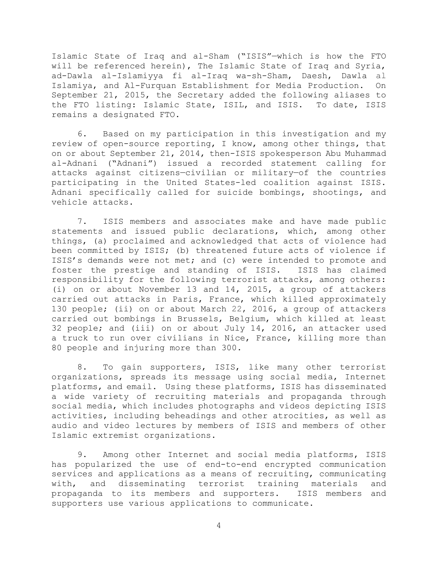Islamic State of Iraq and al-Sham ("ISIS"—which is how the FTO will be referenced herein), The Islamic State of Iraq and Syria, ad-Dawla al-Islamiyya fi al-Iraq wa-sh-Sham, Daesh, Dawla al Islamiya, and Al-Furquan Establishment for Media Production. On September 21, 2015, the Secretary added the following aliases to the FTO listing: Islamic State, ISIL, and ISIS. To date, ISIS remains a designated FTO.

6. Based on my participation in this investigation and my review of open-source reporting, I know, among other things, that on or about September 21, 2014, then-ISIS spokesperson Abu Muhammad al-Adnani ("Adnani") issued a recorded statement calling for attacks against citizens—civilian or military—of the countries participating in the United States-led coalition against ISIS. Adnani specifically called for suicide bombings, shootings, and vehicle attacks.

7. ISIS members and associates make and have made public statements and issued public declarations, which, among other things, (a) proclaimed and acknowledged that acts of violence had been committed by ISIS; (b) threatened future acts of violence if ISIS's demands were not met; and (c) were intended to promote and foster the prestige and standing of ISIS. ISIS has claimed responsibility for the following terrorist attacks, among others: (i) on or about November 13 and 14, 2015, a group of attackers carried out attacks in Paris, France, which killed approximately 130 people; (ii) on or about March 22, 2016, a group of attackers carried out bombings in Brussels, Belgium, which killed at least 32 people; and (iii) on or about July 14, 2016, an attacker used a truck to run over civilians in Nice, France, killing more than 80 people and injuring more than 300.

8. To gain supporters, ISIS, like many other terrorist organizations, spreads its message using social media, Internet platforms, and email. Using these platforms, ISIS has disseminated a wide variety of recruiting materials and propaganda through social media, which includes photographs and videos depicting ISIS activities, including beheadings and other atrocities, as well as audio and video lectures by members of ISIS and members of other Islamic extremist organizations.

9. Among other Internet and social media platforms, ISIS has popularized the use of end-to-end encrypted communication services and applications as a means of recruiting, communicating with, and disseminating terrorist training materials and propaganda to its members and supporters. ISIS members and supporters use various applications to communicate.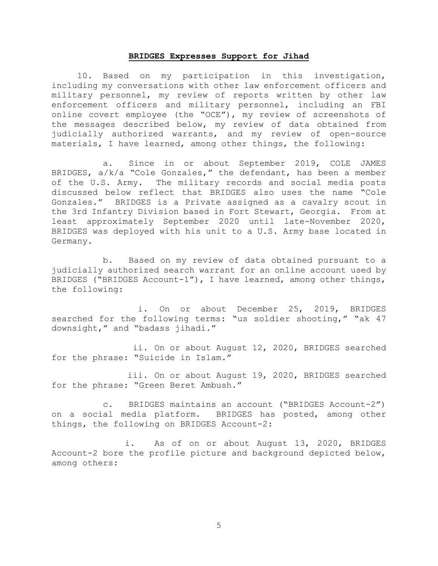## **BRIDGES Expresses Support for Jihad**

10. Based on my participation in this investigation, including my conversations with other law enforcement officers and military personnel, my review of reports written by other law enforcement officers and military personnel, including an FBI online covert employee (the "OCE"), my review of screenshots of the messages described below, my review of data obtained from judicially authorized warrants, and my review of open-source materials, I have learned, among other things, the following:

a. Since in or about September 2019, COLE JAMES BRIDGES, a/k/a "Cole Gonzales," the defendant, has been a member of the U.S. Army. The military records and social media posts discussed below reflect that BRIDGES also uses the name "Cole Gonzales." BRIDGES is a Private assigned as a cavalry scout in the 3rd Infantry Division based in Fort Stewart, Georgia. From at least approximately September 2020 until late-November 2020, BRIDGES was deployed with his unit to a U.S. Army base located in Germany.

b. Based on my review of data obtained pursuant to a judicially authorized search warrant for an online account used by BRIDGES ("BRIDGES Account-1"), I have learned, among other things, the following:

i. On or about December 25, 2019, BRIDGES searched for the following terms: "us soldier shooting," "ak 47 downsight," and "badass jihadi."

ii. On or about August 12, 2020, BRIDGES searched for the phrase: "Suicide in Islam."

iii. On or about August 19, 2020, BRIDGES searched for the phrase: "Green Beret Ambush."

c. BRIDGES maintains an account ("BRIDGES Account-2") on a social media platform. BRIDGES has posted, among other things, the following on BRIDGES Account-2:

i. As of on or about August 13, 2020, BRIDGES Account-2 bore the profile picture and background depicted below, among others: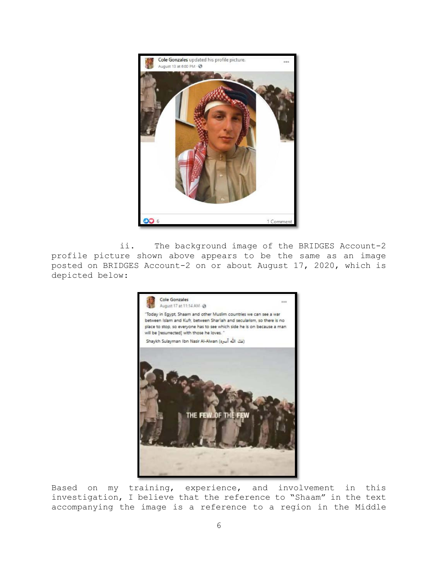

ii. The background image of the BRIDGES Account-2 profile picture shown above appears to be the same as an image posted on BRIDGES Account-2 on or about August 17, 2020, which is depicted below:



Based on my training, experience, and involvement in this investigation, I believe that the reference to "Shaam" in the text accompanying the image is a reference to a region in the Middle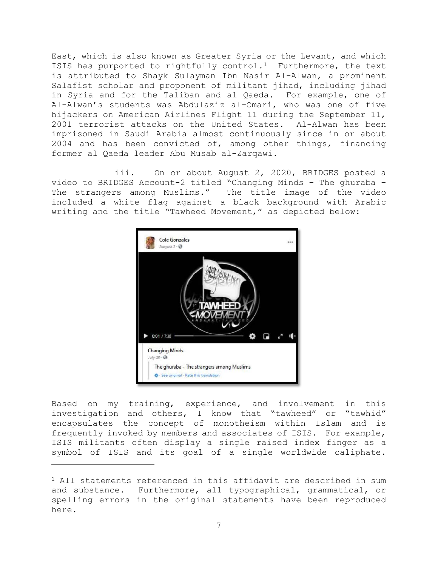East, which is also known as Greater Syria or the Levant, and which ISIS has purported to rightfully control.<sup>1</sup> Furthermore, the text is attributed to Shayk Sulayman Ibn Nasir Al-Alwan, a prominent Salafist scholar and proponent of militant jihad, including jihad in Syria and for the Taliban and al Qaeda. For example, one of Al-Alwan's students was Abdulaziz al-Omari, who was one of five hijackers on American Airlines Flight 11 during the September 11, 2001 terrorist attacks on the United States. Al-Alwan has been imprisoned in Saudi Arabia almost continuously since in or about 2004 and has been convicted of, among other things, financing former al Qaeda leader Abu Musab al-Zarqawi.

iii. On or about August 2, 2020, BRIDGES posted a video to BRIDGES Account-2 titled "Changing Minds – The ghuraba – The strangers among Muslims." The title image of the video included a white flag against a black background with Arabic writing and the title "Tawheed Movement," as depicted below:



Based on my training, experience, and involvement in this investigation and others, I know that "tawheed" or "tawhid" encapsulates the concept of monotheism within Islam and is frequently invoked by members and associates of ISIS. For example, ISIS militants often display a single raised index finger as a symbol of ISIS and its goal of a single worldwide caliphate.

 $\overline{a}$ 

<sup>1</sup> All statements referenced in this affidavit are described in sum and substance. Furthermore, all typographical, grammatical, or spelling errors in the original statements have been reproduced here.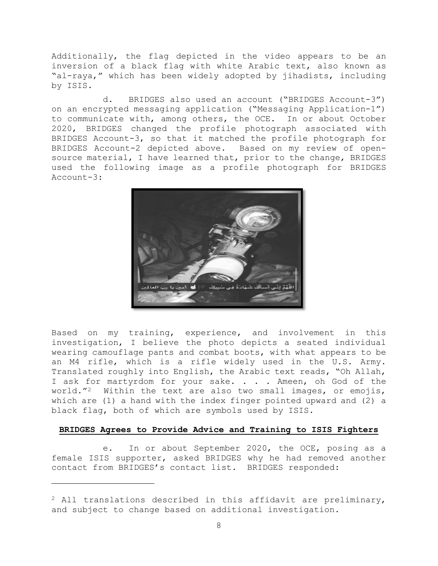Additionally, the flag depicted in the video appears to be an inversion of a black flag with white Arabic text, also known as "al-raya," which has been widely adopted by jihadists, including by ISIS.

d. BRIDGES also used an account ("BRIDGES Account-3") on an encrypted messaging application ("Messaging Application-1") to communicate with, among others, the OCE. In or about October 2020, BRIDGES changed the profile photograph associated with BRIDGES Account-3, so that it matched the profile photograph for BRIDGES Account-2 depicted above. Based on my review of opensource material, I have learned that, prior to the change, BRIDGES used the following image as a profile photograph for BRIDGES Account-3:



Based on my training, experience, and involvement in this investigation, I believe the photo depicts a seated individual wearing camouflage pants and combat boots, with what appears to be an M4 rifle, which is a rifle widely used in the U.S. Army. Translated roughly into English, the Arabic text reads, "Oh Allah, I ask for martyrdom for your sake. . . . Ameen, oh God of the world."<sup>2</sup> Within the text are also two small images, or emojis, which are (1) a hand with the index finger pointed upward and (2) a black flag, both of which are symbols used by ISIS.

## **BRIDGES Agrees to Provide Advice and Training to ISIS Fighters**

e. In or about September 2020, the OCE, posing as a female ISIS supporter, asked BRIDGES why he had removed another contact from BRIDGES's contact list. BRIDGES responded:

 $\overline{a}$ 

<sup>2</sup> All translations described in this affidavit are preliminary, and subject to change based on additional investigation.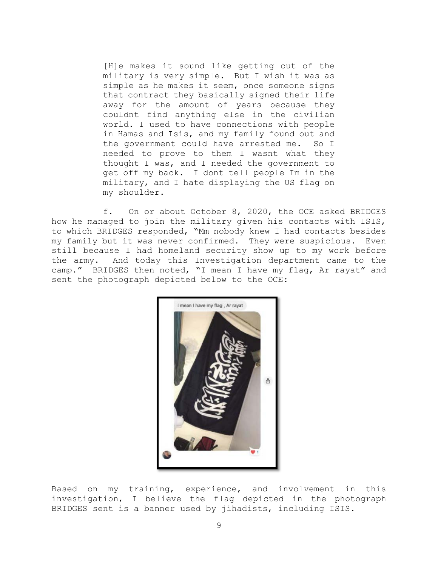[H]e makes it sound like getting out of the military is very simple. But I wish it was as simple as he makes it seem, once someone signs that contract they basically signed their life away for the amount of years because they couldnt find anything else in the civilian world. I used to have connections with people in Hamas and Isis, and my family found out and the government could have arrested me. So I needed to prove to them I wasnt what they thought I was, and I needed the government to get off my back. I dont tell people Im in the military, and I hate displaying the US flag on my shoulder.

f. On or about October 8, 2020, the OCE asked BRIDGES how he managed to join the military given his contacts with ISIS, to which BRIDGES responded, "Mm nobody knew I had contacts besides my family but it was never confirmed. They were suspicious. Even still because I had homeland security show up to my work before the army. And today this Investigation department came to the camp." BRIDGES then noted, "I mean I have my flag, Ar rayat" and sent the photograph depicted below to the OCE:



Based on my training, experience, and involvement in this investigation, I believe the flag depicted in the photograph BRIDGES sent is a banner used by jihadists, including ISIS.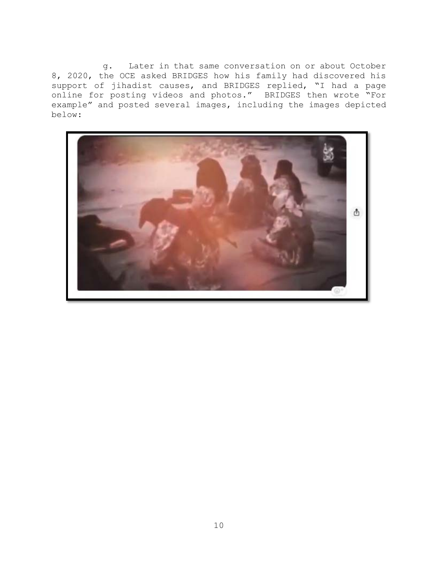g. Later in that same conversation on or about October 8, 2020, the OCE asked BRIDGES how his family had discovered his support of jihadist causes, and BRIDGES replied, "I had a page online for posting videos and photos." BRIDGES then wrote "For example" and posted several images, including the images depicted below:

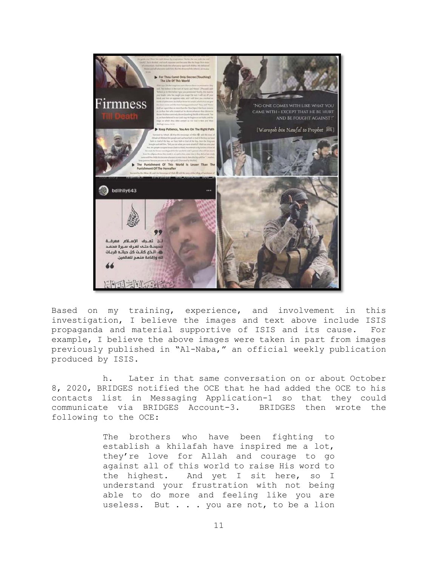

Based on my training, experience, and involvement in this investigation, I believe the images and text above include ISIS propaganda and material supportive of ISIS and its cause. For example, I believe the above images were taken in part from images previously published in "Al-Naba," an official weekly publication produced by ISIS.

h. Later in that same conversation on or about October 8, 2020, BRIDGES notified the OCE that he had added the OCE to his contacts list in Messaging Application-1 so that they could communicate via BRIDGES Account-3. BRIDGES then wrote the following to the OCE:

> The brothers who have been fighting to establish a khilafah have inspired me a lot, they're love for Allah and courage to go against all of this world to raise His word to the highest. And yet I sit here, so I understand your frustration with not being able to do more and feeling like you are useless. But . . . you are not, to be a lion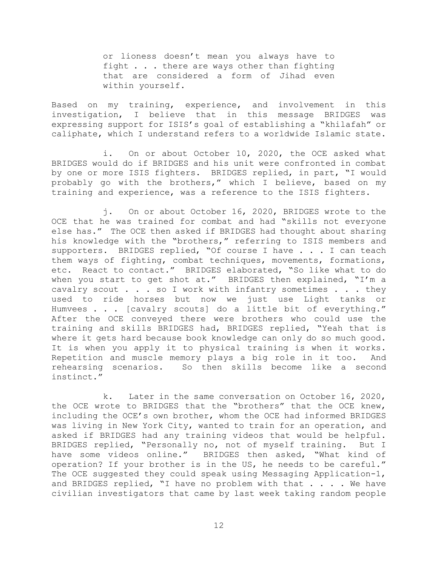or lioness doesn't mean you always have to fight . . . there are ways other than fighting that are considered a form of Jihad even within yourself.

Based on my training, experience, and involvement in this investigation, I believe that in this message BRIDGES was expressing support for ISIS's goal of establishing a "khilafah" or caliphate, which I understand refers to a worldwide Islamic state.

i. On or about October 10, 2020, the OCE asked what BRIDGES would do if BRIDGES and his unit were confronted in combat by one or more ISIS fighters. BRIDGES replied, in part, "I would probably go with the brothers," which I believe, based on my training and experience, was a reference to the ISIS fighters.

j. On or about October 16, 2020, BRIDGES wrote to the OCE that he was trained for combat and had "skills not everyone else has." The OCE then asked if BRIDGES had thought about sharing his knowledge with the "brothers," referring to ISIS members and supporters. BRIDGES replied, "Of course I have . . . I can teach them ways of fighting, combat techniques, movements, formations, etc. React to contact." BRIDGES elaborated, "So like what to do when you start to get shot at." BRIDGES then explained, "I'm a cavalry scout . . . so I work with infantry sometimes . . . they used to ride horses but now we just use Light tanks or Humvees . . . [cavalry scouts] do a little bit of everything." After the OCE conveyed there were brothers who could use the training and skills BRIDGES had, BRIDGES replied, "Yeah that is where it gets hard because book knowledge can only do so much good. It is when you apply it to physical training is when it works. Repetition and muscle memory plays a big role in it too. And rehearsing scenarios. So then skills become like a second instinct."

k. Later in the same conversation on October 16, 2020, the OCE wrote to BRIDGES that the "brothers" that the OCE knew, including the OCE's own brother, whom the OCE had informed BRIDGES was living in New York City, wanted to train for an operation, and asked if BRIDGES had any training videos that would be helpful. BRIDGES replied, "Personally no, not of myself training. But I have some videos online." BRIDGES then asked, "What kind of operation? If your brother is in the US, he needs to be careful." The OCE suggested they could speak using Messaging Application-1, and BRIDGES replied, "I have no problem with that . . . . We have civilian investigators that came by last week taking random people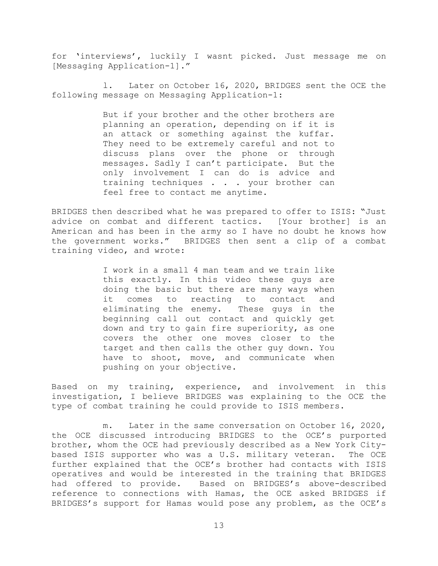for 'interviews', luckily I wasnt picked. Just message me on [Messaging Application-1]."

l. Later on October 16, 2020, BRIDGES sent the OCE the following message on Messaging Application-1:

> But if your brother and the other brothers are planning an operation, depending on if it is an attack or something against the kuffar. They need to be extremely careful and not to discuss plans over the phone or through messages. Sadly I can't participate. But the only involvement I can do is advice and training techniques . . . your brother can feel free to contact me anytime.

BRIDGES then described what he was prepared to offer to ISIS: "Just advice on combat and different tactics. [Your brother] is an American and has been in the army so I have no doubt he knows how the government works." BRIDGES then sent a clip of a combat training video, and wrote:

> I work in a small 4 man team and we train like this exactly. In this video these guys are doing the basic but there are many ways when it comes to reacting to contact and eliminating the enemy. These guys in the beginning call out contact and quickly get down and try to gain fire superiority, as one covers the other one moves closer to the target and then calls the other guy down. You have to shoot, move, and communicate when pushing on your objective.

Based on my training, experience, and involvement in this investigation, I believe BRIDGES was explaining to the OCE the type of combat training he could provide to ISIS members.

m. Later in the same conversation on October 16, 2020, the OCE discussed introducing BRIDGES to the OCE's purported brother, whom the OCE had previously described as a New York Citybased ISIS supporter who was a U.S. military veteran. The OCE further explained that the OCE's brother had contacts with ISIS operatives and would be interested in the training that BRIDGES had offered to provide. Based on BRIDGES's above-described reference to connections with Hamas, the OCE asked BRIDGES if BRIDGES's support for Hamas would pose any problem, as the OCE's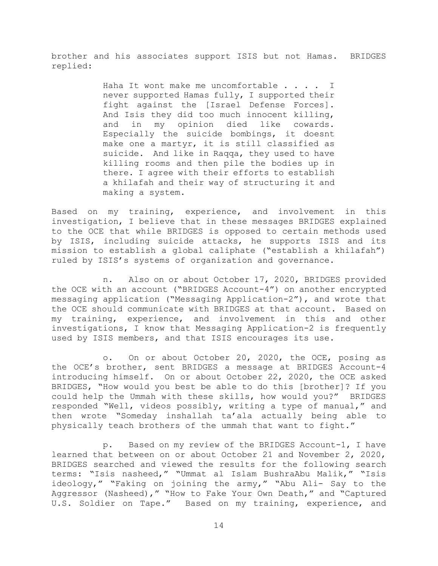brother and his associates support ISIS but not Hamas. BRIDGES replied:

> Haha It wont make me uncomfortable . . . . I never supported Hamas fully, I supported their fight against the [Israel Defense Forces]. And Isis they did too much innocent killing, and in my opinion died like cowards. Especially the suicide bombings, it doesnt make one a martyr, it is still classified as suicide. And like in Raqqa, they used to have killing rooms and then pile the bodies up in there. I agree with their efforts to establish a khilafah and their way of structuring it and making a system.

Based on my training, experience, and involvement in this investigation, I believe that in these messages BRIDGES explained to the OCE that while BRIDGES is opposed to certain methods used by ISIS, including suicide attacks, he supports ISIS and its mission to establish a global caliphate ("establish a khilafah") ruled by ISIS's systems of organization and governance.

n. Also on or about October 17, 2020, BRIDGES provided the OCE with an account ("BRIDGES Account-4") on another encrypted messaging application ("Messaging Application-2"), and wrote that the OCE should communicate with BRIDGES at that account. Based on my training, experience, and involvement in this and other investigations, I know that Messaging Application-2 is frequently used by ISIS members, and that ISIS encourages its use.

o. On or about October 20, 2020, the OCE, posing as the OCE's brother, sent BRIDGES a message at BRIDGES Account-4 introducing himself. On or about October 22, 2020, the OCE asked BRIDGES, "How would you best be able to do this [brother]? If you could help the Ummah with these skills, how would you?" BRIDGES responded "Well, videos possibly, writing a type of manual," and then wrote "Someday inshallah ta'ala actually being able to physically teach brothers of the ummah that want to fight."

p. Based on my review of the BRIDGES Account-1, I have learned that between on or about October 21 and November 2, 2020, BRIDGES searched and viewed the results for the following search terms: "Isis nasheed," "Ummat al Islam BushraAbu Malik," "Isis ideology," "Faking on joining the army," "Abu Ali- Say to the Aggressor (Nasheed)," "How to Fake Your Own Death," and "Captured U.S. Soldier on Tape." Based on my training, experience, and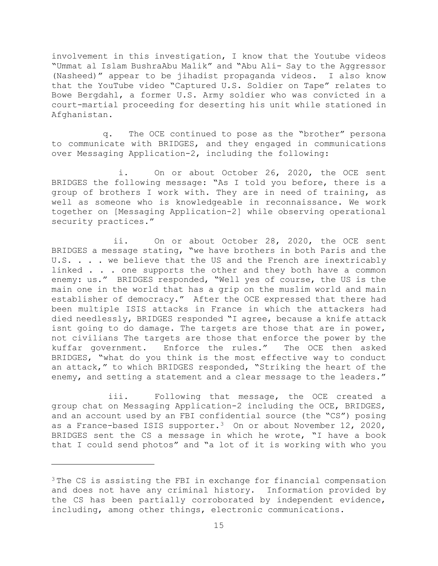involvement in this investigation, I know that the Youtube videos "Ummat al Islam BushraAbu Malik" and "Abu Ali- Say to the Aggressor (Nasheed)" appear to be jihadist propaganda videos. I also know that the YouTube video "Captured U.S. Soldier on Tape" relates to Bowe Bergdahl, a former U.S. Army soldier who was convicted in a court-martial proceeding for deserting his unit while stationed in Afghanistan.

q. The OCE continued to pose as the "brother" persona to communicate with BRIDGES, and they engaged in communications over Messaging Application-2, including the following:

i. On or about October 26, 2020, the OCE sent BRIDGES the following message: "As I told you before, there is a group of brothers I work with. They are in need of training, as well as someone who is knowledgeable in reconnaissance. We work together on [Messaging Application-2] while observing operational security practices."

ii. On or about October 28, 2020, the OCE sent BRIDGES a message stating, "we have brothers in both Paris and the U.S. . . . we believe that the US and the French are inextricably linked . . . one supports the other and they both have a common enemy: us." BRIDGES responded, "Well yes of course, the US is the main one in the world that has a grip on the muslim world and main establisher of democracy." After the OCE expressed that there had been multiple ISIS attacks in France in which the attackers had died needlessly, BRIDGES responded "I agree, because a knife attack isnt going to do damage. The targets are those that are in power, not civilians The targets are those that enforce the power by the kuffar government. Enforce the rules." The OCE then asked BRIDGES, "what do you think is the most effective way to conduct an attack," to which BRIDGES responded, "Striking the heart of the enemy, and setting a statement and a clear message to the leaders."

iii. Following that message, the OCE created a group chat on Messaging Application-2 including the OCE, BRIDGES, and an account used by an FBI confidential source (the "CS") posing as a France-based ISIS supporter.<sup>3</sup> On or about November 12, 2020, BRIDGES sent the CS a message in which he wrote, "I have a book that I could send photos" and "a lot of it is working with who you

 $\overline{a}$ 

<sup>&</sup>lt;sup>3</sup> The CS is assisting the FBI in exchange for financial compensation and does not have any criminal history. Information provided by the CS has been partially corroborated by independent evidence, including, among other things, electronic communications.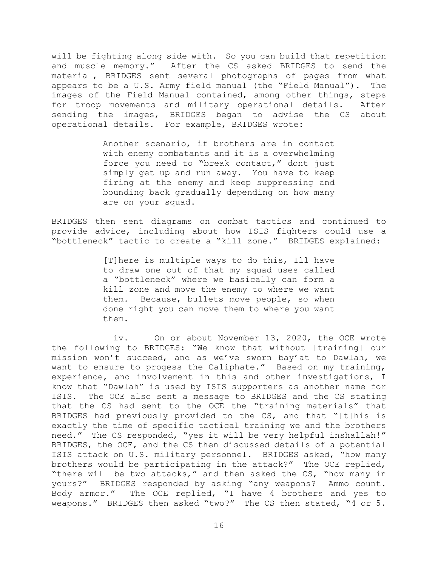will be fighting along side with. So you can build that repetition and muscle memory." After the CS asked BRIDGES to send the material, BRIDGES sent several photographs of pages from what appears to be a U.S. Army field manual (the "Field Manual"). The images of the Field Manual contained, among other things, steps for troop movements and military operational details. After sending the images, BRIDGES began to advise the CS about operational details. For example, BRIDGES wrote:

> Another scenario, if brothers are in contact with enemy combatants and it is a overwhelming force you need to "break contact," dont just simply get up and run away. You have to keep firing at the enemy and keep suppressing and bounding back gradually depending on how many are on your squad.

BRIDGES then sent diagrams on combat tactics and continued to provide advice, including about how ISIS fighters could use a "bottleneck" tactic to create a "kill zone." BRIDGES explained:

> [T]here is multiple ways to do this, Ill have to draw one out of that my squad uses called a "bottleneck" where we basically can form a kill zone and move the enemy to where we want them. Because, bullets move people, so when done right you can move them to where you want them.

iv. On or about November 13, 2020, the OCE wrote the following to BRIDGES: "We know that without [training] our mission won't succeed, and as we've sworn bay'at to Dawlah, we want to ensure to progess the Caliphate." Based on my training, experience, and involvement in this and other investigations, I know that "Dawlah" is used by ISIS supporters as another name for ISIS. The OCE also sent a message to BRIDGES and the CS stating that the CS had sent to the OCE the "training materials" that BRIDGES had previously provided to the CS, and that "[t]his is exactly the time of specific tactical training we and the brothers need." The CS responded, "yes it will be very helpful inshallah!" BRIDGES, the OCE, and the CS then discussed details of a potential ISIS attack on U.S. military personnel. BRIDGES asked, "how many brothers would be participating in the attack?" The OCE replied, "there will be two attacks," and then asked the CS, "how many in yours?" BRIDGES responded by asking "any weapons? Ammo count. Body armor." The OCE replied, "I have 4 brothers and yes to weapons." BRIDGES then asked "two?" The CS then stated, "4 or 5.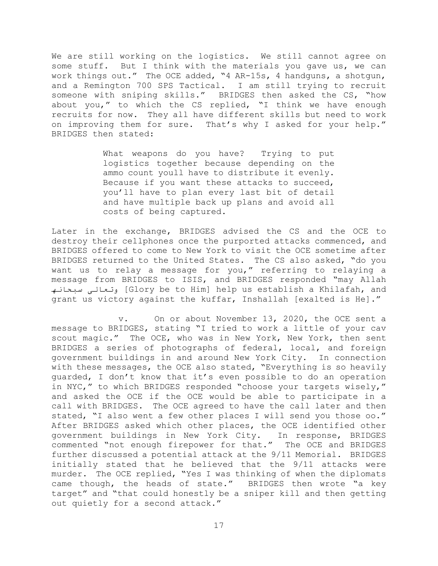We are still working on the logistics. We still cannot agree on some stuff. But I think with the materials you gave us, we can work things out." The OCE added, "4 AR-15s, 4 handguns, a shotgun, and a Remington 700 SPS Tactical. I am still trying to recruit someone with sniping skills." BRIDGES then asked the CS, "how about you," to which the CS replied, "I think we have enough recruits for now. They all have different skills but need to work on improving them for sure. That's why I asked for your help." BRIDGES then stated:

> What weapons do you have? Trying to put logistics together because depending on the ammo count youll have to distribute it evenly. Because if you want these attacks to succeed, you'll have to plan every last bit of detail and have multiple back up plans and avoid all costs of being captured.

Later in the exchange, BRIDGES advised the CS and the OCE to destroy their cellphones once the purported attacks commenced, and BRIDGES offered to come to New York to visit the OCE sometime after BRIDGES returned to the United States. The CS also asked, "do you want us to relay a message for you," referring to relaying a message from BRIDGES to ISIS, and BRIDGES responded "may Allah سبحانھ وتعالى] Glory be to Him] help us establish a Khilafah, and grant us victory against the kuffar, Inshallah [exalted is He]."

v. On or about November 13, 2020, the OCE sent a message to BRIDGES, stating "I tried to work a little of your cav scout magic." The OCE, who was in New York, New York, then sent BRIDGES a series of photographs of federal, local, and foreign government buildings in and around New York City. In connection with these messages, the OCE also stated, "Everything is so heavily guarded, I don't know that it's even possible to do an operation in NYC," to which BRIDGES responded "choose your targets wisely," and asked the OCE if the OCE would be able to participate in a call with BRIDGES. The OCE agreed to have the call later and then stated, "I also went a few other places I will send you those oo." After BRIDGES asked which other places, the OCE identified other government buildings in New York City. In response, BRIDGES commented "not enough firepower for that." The OCE and BRIDGES further discussed a potential attack at the 9/11 Memorial. BRIDGES initially stated that he believed that the 9/11 attacks were murder. The OCE replied, "Yes I was thinking of when the diplomats came though, the heads of state." BRIDGES then wrote "a key target" and "that could honestly be a sniper kill and then getting out quietly for a second attack."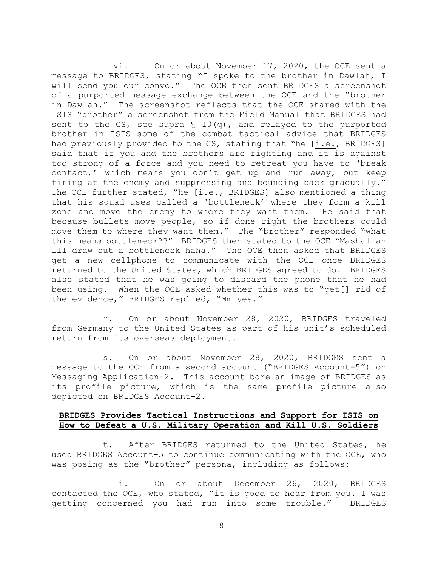vi. On or about November 17, 2020, the OCE sent a message to BRIDGES, stating "I spoke to the brother in Dawlah, I will send you our convo." The OCE then sent BRIDGES a screenshot of a purported message exchange between the OCE and the "brother in Dawlah." The screenshot reflects that the OCE shared with the ISIS "brother" a screenshot from the Field Manual that BRIDGES had sent to the CS, see supra ¶ 10(q), and relayed to the purported brother in ISIS some of the combat tactical advice that BRIDGES had previously provided to the CS, stating that "he [i.e., BRIDGES] said that if you and the brothers are fighting and it is against too strong of a force and you need to retreat you have to 'break contact,' which means you don't get up and run away, but keep firing at the enemy and suppressing and bounding back gradually." The OCE further stated, "he  $[i.e.,$  BRIDGES] also mentioned a thing that his squad uses called a 'bottleneck' where they form a kill zone and move the enemy to where they want them. He said that because bullets move people, so if done right the brothers could move them to where they want them." The "brother" responded "what this means bottleneck??" BRIDGES then stated to the OCE "Mashallah Ill draw out a bottleneck haha." The OCE then asked that BRIDGES get a new cellphone to communicate with the OCE once BRIDGES returned to the United States, which BRIDGES agreed to do. BRIDGES also stated that he was going to discard the phone that he had been using. When the OCE asked whether this was to "get[] rid of the evidence," BRIDGES replied, "Mm yes."

r. On or about November 28, 2020, BRIDGES traveled from Germany to the United States as part of his unit's scheduled return from its overseas deployment.

s. On or about November 28, 2020, BRIDGES sent a message to the OCE from a second account ("BRIDGES Account-5") on Messaging Application-2. This account bore an image of BRIDGES as its profile picture, which is the same profile picture also depicted on BRIDGES Account-2.

# **BRIDGES Provides Tactical Instructions and Support for ISIS on How to Defeat a U.S. Military Operation and Kill U.S. Soldiers**

t. After BRIDGES returned to the United States, he used BRIDGES Account-5 to continue communicating with the OCE, who was posing as the "brother" persona, including as follows:

i. On or about December 26, 2020, BRIDGES contacted the OCE, who stated, "it is good to hear from you. I was getting concerned you had run into some trouble." BRIDGES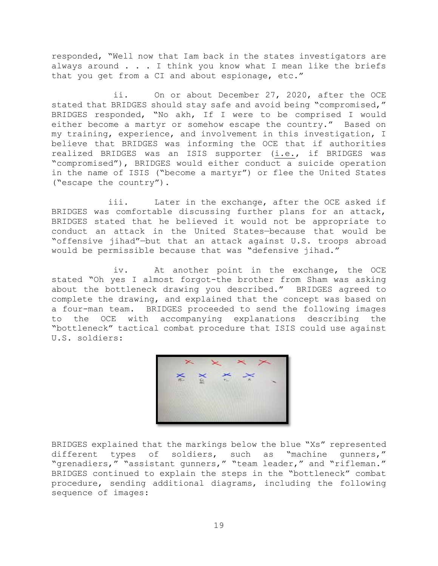responded, "Well now that Iam back in the states investigators are always around . . . I think you know what I mean like the briefs that you get from a CI and about espionage, etc."

ii. On or about December 27, 2020, after the OCE stated that BRIDGES should stay safe and avoid being "compromised," BRIDGES responded, "No akh, If I were to be comprised I would either become a martyr or somehow escape the country." Based on my training, experience, and involvement in this investigation, I believe that BRIDGES was informing the OCE that if authorities realized BRIDGES was an ISIS supporter (i.e., if BRIDGES was "compromised"), BRIDGES would either conduct a suicide operation in the name of ISIS ("become a martyr") or flee the United States ("escape the country").

iii. Later in the exchange, after the OCE asked if BRIDGES was comfortable discussing further plans for an attack, BRIDGES stated that he believed it would not be appropriate to conduct an attack in the United States—because that would be "offensive jihad"—but that an attack against U.S. troops abroad would be permissible because that was "defensive jihad."

iv. At another point in the exchange, the OCE stated "Oh yes I almost forgot-the brother from Sham was asking about the bottleneck drawing you described." BRIDGES agreed to complete the drawing, and explained that the concept was based on a four-man team. BRIDGES proceeded to send the following images to the OCE with accompanying explanations describing the "bottleneck" tactical combat procedure that ISIS could use against U.S. soldiers:

BRIDGES explained that the markings below the blue "Xs" represented different types of soldiers, such as "machine gunners," "grenadiers," "assistant gunners," "team leader," and "rifleman." BRIDGES continued to explain the steps in the "bottleneck" combat procedure, sending additional diagrams, including the following sequence of images: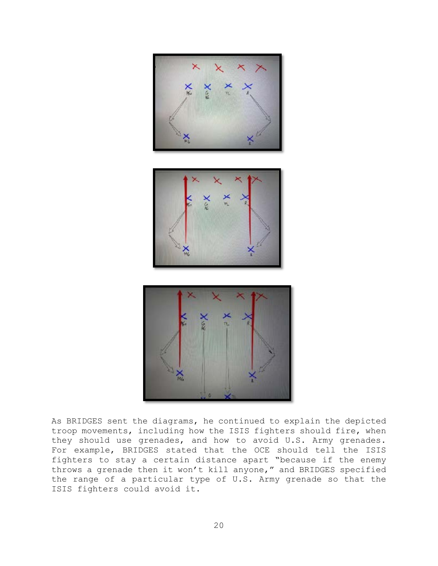





As BRIDGES sent the diagrams, he continued to explain the depicted troop movements, including how the ISIS fighters should fire, when they should use grenades, and how to avoid U.S. Army grenades. For example, BRIDGES stated that the OCE should tell the ISIS fighters to stay a certain distance apart "because if the enemy throws a grenade then it won't kill anyone," and BRIDGES specified the range of a particular type of U.S. Army grenade so that the ISIS fighters could avoid it.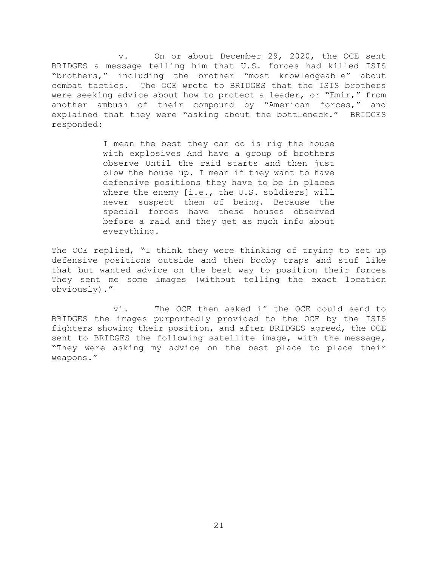v. On or about December 29, 2020, the OCE sent BRIDGES a message telling him that U.S. forces had killed ISIS "brothers," including the brother "most knowledgeable" about combat tactics. The OCE wrote to BRIDGES that the ISIS brothers were seeking advice about how to protect a leader, or "Emir," from another ambush of their compound by "American forces," and explained that they were "asking about the bottleneck." BRIDGES responded:

> I mean the best they can do is rig the house with explosives And have a group of brothers observe Until the raid starts and then just blow the house up. I mean if they want to have defensive positions they have to be in places where the enemy [i.e., the U.S. soldiers] will never suspect them of being. Because the special forces have these houses observed before a raid and they get as much info about everything.

The OCE replied, "I think they were thinking of trying to set up defensive positions outside and then booby traps and stuf like that but wanted advice on the best way to position their forces They sent me some images (without telling the exact location obviously)."

vi. The OCE then asked if the OCE could send to BRIDGES the images purportedly provided to the OCE by the ISIS fighters showing their position, and after BRIDGES agreed, the OCE sent to BRIDGES the following satellite image, with the message, "They were asking my advice on the best place to place their weapons."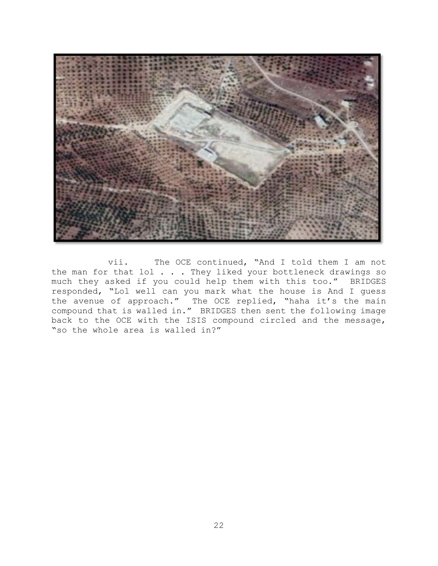

vii. The OCE continued, "And I told them I am not the man for that  $\text{Io}$  . . . They liked your bottleneck drawings so much they asked if you could help them with this too." BRIDGES responded, "Lol well can you mark what the house is And I guess the avenue of approach." The OCE replied, "haha it's the main compound that is walled in." BRIDGES then sent the following image back to the OCE with the ISIS compound circled and the message, "so the whole area is walled in?"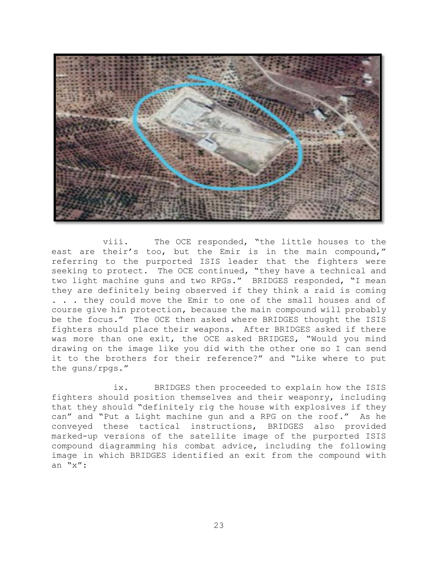

viii. The OCE responded, "the little houses to the east are their's too, but the Emir is in the main compound," referring to the purported ISIS leader that the fighters were seeking to protect. The OCE continued, "they have a technical and two light machine guns and two RPGs." BRIDGES responded, "I mean they are definitely being observed if they think a raid is coming . . . they could move the Emir to one of the small houses and of course give hin protection, because the main compound will probably be the focus." The OCE then asked where BRIDGES thought the ISIS fighters should place their weapons. After BRIDGES asked if there was more than one exit, the OCE asked BRIDGES, "Would you mind drawing on the image like you did with the other one so I can send it to the brothers for their reference?" and "Like where to put the guns/rpgs."

ix. BRIDGES then proceeded to explain how the ISIS fighters should position themselves and their weaponry, including that they should "definitely rig the house with explosives if they can" and "Put a Light machine gun and a RPG on the roof." As he conveyed these tactical instructions, BRIDGES also provided marked-up versions of the satellite image of the purported ISIS compound diagramming his combat advice, including the following image in which BRIDGES identified an exit from the compound with an "x":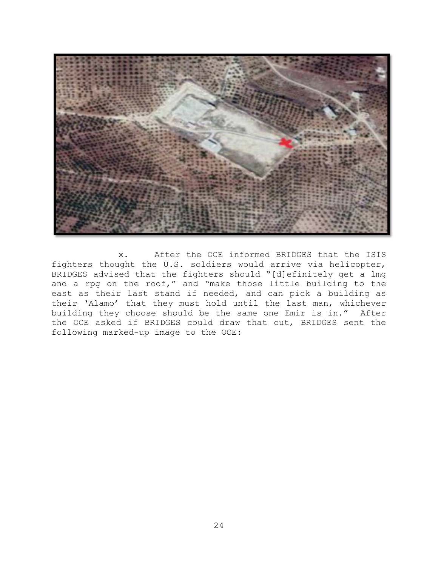

x. After the OCE informed BRIDGES that the ISIS fighters thought the U.S. soldiers would arrive via helicopter, BRIDGES advised that the fighters should "[d]efinitely get a lmg and a rpg on the roof," and "make those little building to the east as their last stand if needed, and can pick a building as their 'Alamo' that they must hold until the last man, whichever building they choose should be the same one Emir is in." After the OCE asked if BRIDGES could draw that out, BRIDGES sent the following marked-up image to the OCE: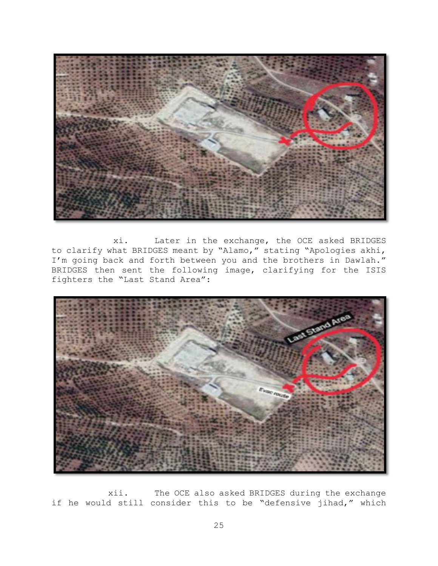

xi. Later in the exchange, the OCE asked BRIDGES to clarify what BRIDGES meant by "Alamo," stating "Apologies akhi, I'm going back and forth between you and the brothers in Dawlah." BRIDGES then sent the following image, clarifying for the ISIS fighters the "Last Stand Area":



xii. The OCE also asked BRIDGES during the exchange if he would still consider this to be "defensive jihad," which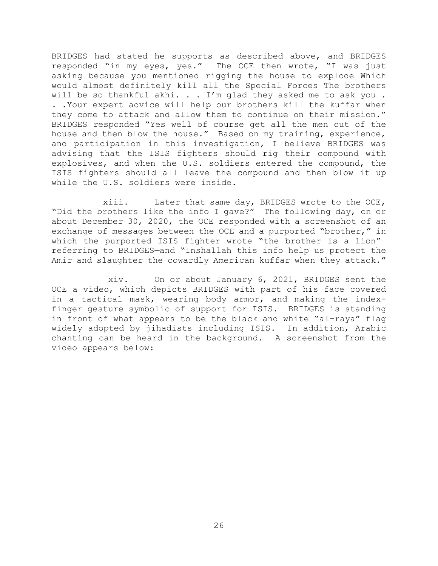BRIDGES had stated he supports as described above, and BRIDGES responded "in my eyes, yes." The OCE then wrote, "I was just asking because you mentioned rigging the house to explode Which would almost definitely kill all the Special Forces The brothers will be so thankful akhi. . . I'm glad they asked me to ask you . . .Your expert advice will help our brothers kill the kuffar when they come to attack and allow them to continue on their mission." BRIDGES responded "Yes well of course get all the men out of the house and then blow the house." Based on my training, experience, and participation in this investigation, I believe BRIDGES was advising that the ISIS fighters should rig their compound with explosives, and when the U.S. soldiers entered the compound, the ISIS fighters should all leave the compound and then blow it up while the U.S. soldiers were inside.

xiii. Later that same day, BRIDGES wrote to the OCE, "Did the brothers like the info I gave?" The following day, on or about December 30, 2020, the OCE responded with a screenshot of an exchange of messages between the OCE and a purported "brother," in which the purported ISIS fighter wrote "the brother is a lion"referring to BRIDGES—and "Inshallah this info help us protect the Amir and slaughter the cowardly American kuffar when they attack."

xiv. On or about January 6, 2021, BRIDGES sent the OCE a video, which depicts BRIDGES with part of his face covered in a tactical mask, wearing body armor, and making the indexfinger gesture symbolic of support for ISIS. BRIDGES is standing in front of what appears to be the black and white "al-raya" flag widely adopted by jihadists including ISIS. In addition, Arabic chanting can be heard in the background. A screenshot from the video appears below: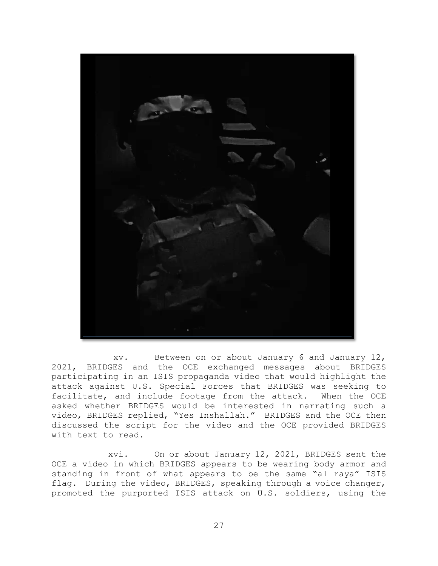

xv. Between on or about January 6 and January 12, 2021, BRIDGES and the OCE exchanged messages about BRIDGES participating in an ISIS propaganda video that would highlight the attack against U.S. Special Forces that BRIDGES was seeking to facilitate, and include footage from the attack. When the OCE asked whether BRIDGES would be interested in narrating such a video, BRIDGES replied, "Yes Inshallah." BRIDGES and the OCE then discussed the script for the video and the OCE provided BRIDGES with text to read.

xvi. On or about January 12, 2021, BRIDGES sent the OCE a video in which BRIDGES appears to be wearing body armor and standing in front of what appears to be the same "al raya" ISIS flag. During the video, BRIDGES, speaking through a voice changer, promoted the purported ISIS attack on U.S. soldiers, using the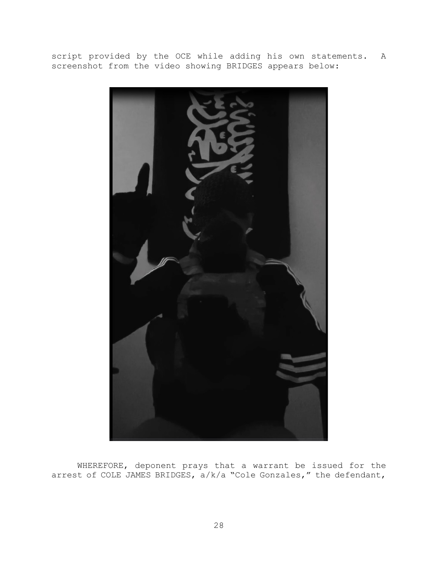script provided by the OCE while adding his own statements. A screenshot from the video showing BRIDGES appears below:



WHEREFORE, deponent prays that a warrant be issued for the arrest of COLE JAMES BRIDGES, a/k/a "Cole Gonzales," the defendant,